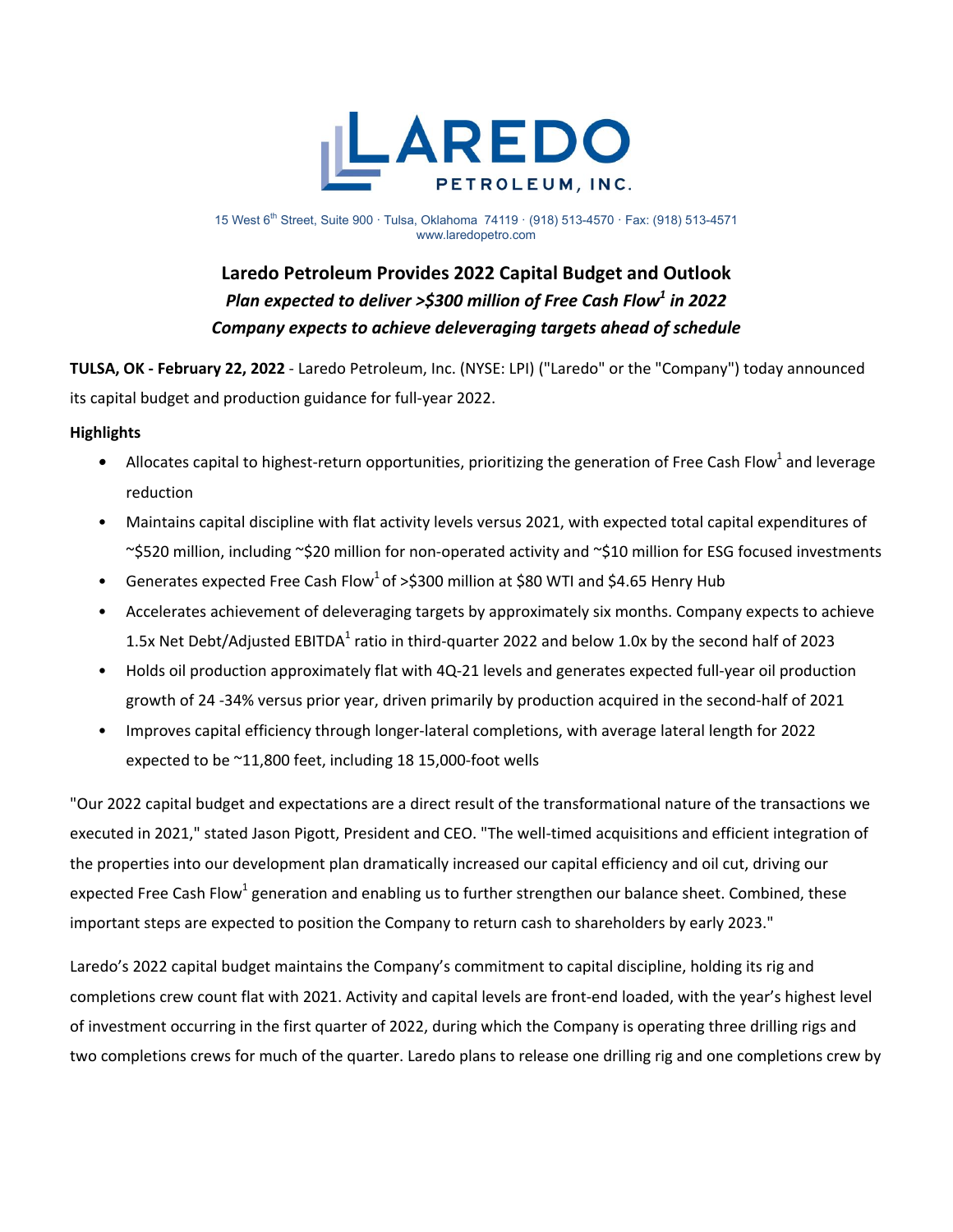

15 West 6<sup>th</sup> Street, Suite 900 · Tulsa, Oklahoma 74119 · (918) 513-4570 · Fax: (918) 513-4571 www.laredopetro.com

# Laredo Petroleum Provides 2022 Capital Budget and Outlook *Plan expected to deliver >\$300 million of Free Cash Flow<sup>1</sup> in 2022 Company expects to achieve deleveraging targets ahead of schedule*

**TULSA, OK - February 22, 2022** - Laredo Petroleum, Inc. (NYSE: LPI) ("Laredo" or the "Company") today announced its capital budget and production guidance for full-year 2022.

## **Highlights**

- Allocates capital to highest-return opportunities, prioritizing the generation of Free Cash Flow<sup>1</sup> and leverage reduction
- Maintains capital discipline with flat activity levels versus 2021, with expected total capital expenditures of ~\$520 million, including ~\$20 million for non-operated activity and ~\$10 million for ESG focused investments
- Generates expected Free Cash Flow<sup>1</sup> of >\$300 million at \$80 WTI and \$4.65 Henry Hub
- Accelerates achievement of deleveraging targets by approximately six months. Company expects to achieve 1.5x Net Debt/Adjusted EBITDA<sup>1</sup> ratio in third-quarter 2022 and below 1.0x by the second half of 2023
- Holds oil production approximately flat with 4Q-21 levels and generates expected full-year oil production growth of 24 -34% versus prior year, driven primarily by production acquired in the second-half of 2021
- Improves capital efficiency through longer-lateral completions, with average lateral length for 2022 expected to be  $^{\sim}$ 11,800 feet, including 18 15,000-foot wells

"Our 2022 capital budget and expectations are a direct result of the transformational nature of the transactions we executed in 2021," stated Jason Pigott, President and CEO. "The well-timed acquisitions and efficient integration of the properties into our development plan dramatically increased our capital efficiency and oil cut, driving our expected Free Cash Flow<sup>1</sup> generation and enabling us to further strengthen our balance sheet. Combined, these important steps are expected to position the Company to return cash to shareholders by early 2023."

Laredo's 2022 capital budget maintains the Company's commitment to capital discipline, holding its rig and completions crew count flat with 2021. Activity and capital levels are front-end loaded, with the year's highest level of investment occurring in the first quarter of 2022, during which the Company is operating three drilling rigs and two completions crews for much of the quarter. Laredo plans to release one drilling rig and one completions crew by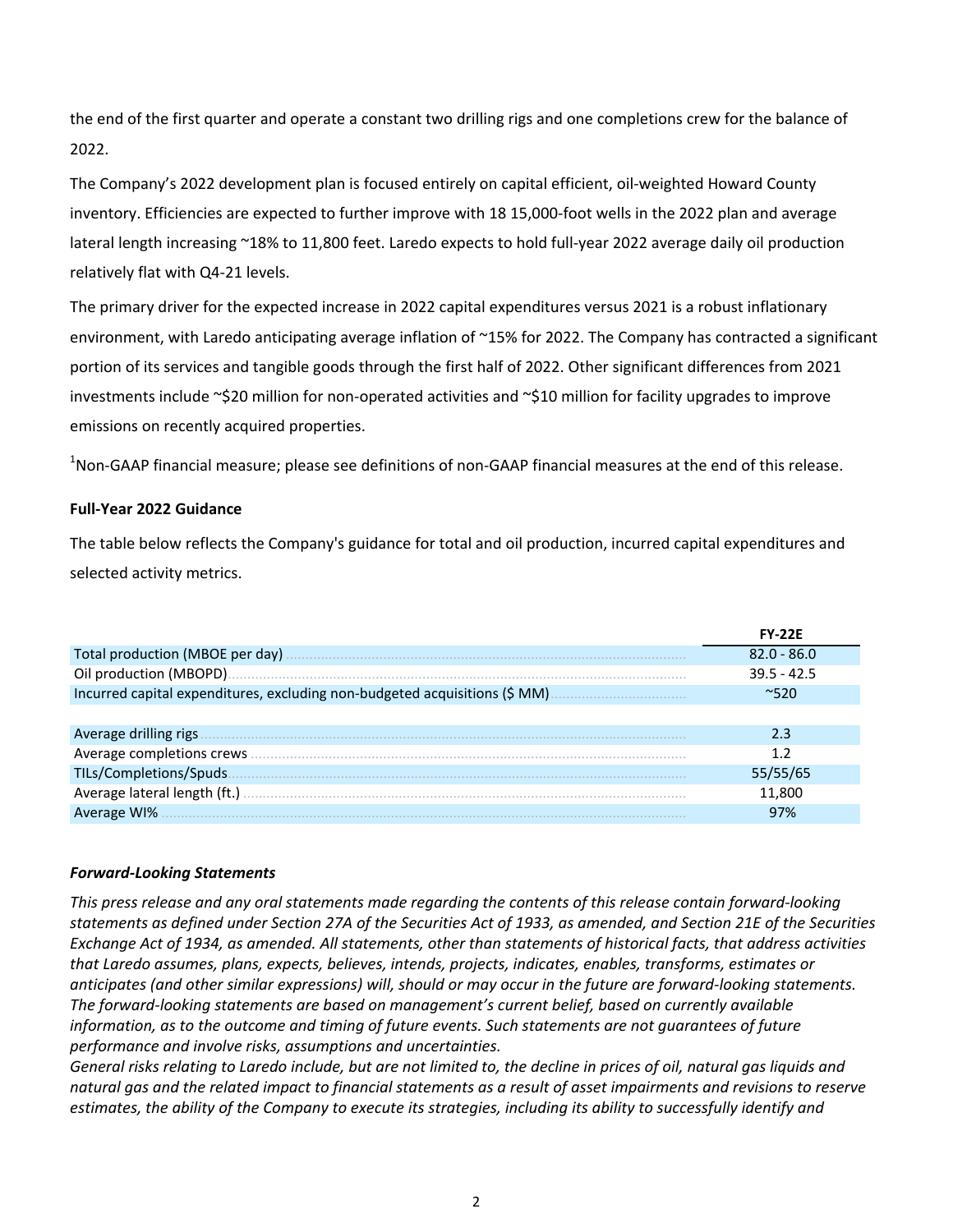the end of the first quarter and operate a constant two drilling rigs and one completions crew for the balance of 2022.

The Company's 2022 development plan is focused entirely on capital efficient, oil-weighted Howard County inventory. Efficiencies are expected to further improve with 18 15,000-foot wells in the 2022 plan and average lateral length increasing ~18% to 11,800 feet. Laredo expects to hold full-year 2022 average daily oil production relatively flat with Q4-21 levels.

The primary driver for the expected increase in 2022 capital expenditures versus 2021 is a robust inflationary environment, with Laredo anticipating average inflation of  $~15\%$  for 2022. The Company has contracted a significant portion of its services and tangible goods through the first half of 2022. Other significant differences from 2021 investments include  $\sim$ \$20 million for non-operated activities and  $\sim$ \$10 million for facility upgrades to improve emissions on recently acquired properties.

<sup>1</sup>Non-GAAP financial measure; please see definitions of non-GAAP financial measures at the end of this release.

## **Full-Year 2022 Guidance**

The table below reflects the Company's guidance for total and oil production, incurred capital expenditures and selected activity metrics.

|                    | <b>FY-22F</b> |
|--------------------|---------------|
|                    | $82.0 - 86.0$ |
|                    | $39.5 - 42.5$ |
|                    | ~8520         |
|                    |               |
|                    | 2.3           |
|                    |               |
|                    | 55/55/65      |
|                    | 11,800        |
| <b>Average WI%</b> |               |

#### *Forward-Looking Statements*

*This* press release and any oral statements made regarding the contents of this release contain forward-looking statements as defined under Section 27A of the Securities Act of 1933, as amended, and Section 21E of the Securities *Exchange Act of 1934, as amended. All statements, other than statements of historical facts, that address activities* that Laredo assumes, plans, expects, believes, intends, projects, indicates, enables, transforms, estimates or *anticipates (and other similar expressions)* will, should or may occur in the future are forward-looking statements. The forward-looking statements are based on management's current belief, based on currently available *information, as to the outcome and timing of future events. Such statements are not guarantees of future performance and involve risks, assumptions and uncertainties.*

General risks relating to Laredo include, but are not limited to, the decline in prices of oil, natural gas liquids and natural gas and the related impact to financial statements as a result of asset impairments and revisions to reserve estimates, the ability of the Company to execute its strategies, including its ability to successfully identify and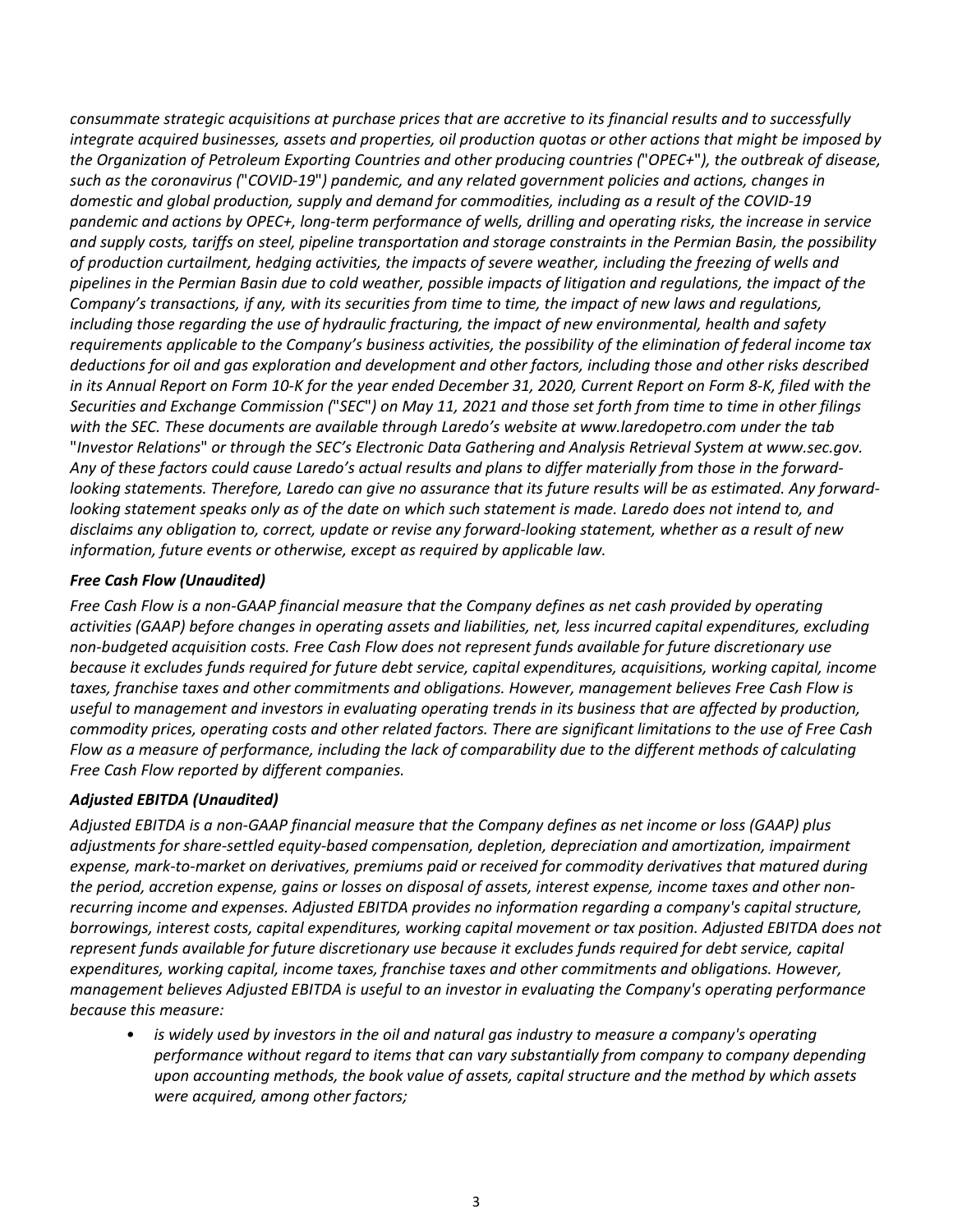*consummate strategic acquisitions at purchase prices that are accretive to its financial results and to successfully integrate acquired businesses, assets and properties, oil production quotas or other actions that might be imposed by the Organization of Petroleum Exporting Countries and other producing countries (*"*OPEC+*"*), the outbreak of disease,*  such as the coronavirus ("COVID-19") pandemic, and any related government policies and actions, changes in domestic and global production, supply and demand for commodities, including as a result of the COVID-19 pandemic and actions by OPEC+, long-term performance of wells, drilling and operating risks, the increase in service and supply costs, tariffs on steel, pipeline transportation and storage constraints in the Permian Basin, the possibility of production curtailment, hedging activities, the impacts of severe weather, including the freezing of wells and pipelines in the Permian Basin due to cold weather, possible impacts of litigation and regulations, the impact of the *Company's* transactions, if any, with its securities from time to time, the impact of new laws and regulations, *including* those regarding the use of hydraulic fracturing, the impact of new environmental, health and safety requirements applicable to the Company's business activities, the possibility of the elimination of federal income tax *deductions* for oil and gas exploration and development and other factors, including those and other risks described *in* its Annual Report on Form 10-K for the year ended December 31, 2020, Current Report on Form 8-K, filed with the *Securities and Exchange Commission* ("*SEC*") on May 11, 2021 and those set forth from time to time in other filings with the SEC. These documents are available through Laredo's website at www.laredopetro.com under the tab "Investor Relations" or through the SEC's Electronic Data Gathering and Analysis Retrieval System at www.sec.gov. Any of these factors could cause Laredo's actual results and plans to differ materially from those in the forwardlooking statements. Therefore, Laredo can give no assurance that its future results will be as estimated. Any forward*looking* statement speaks only as of the date on which such statement is made. Laredo does not intend to, and disclaims any obligation to, correct, update or revise any forward-looking statement, whether as a result of new *information, future events or otherwise, except as required by applicable law.* 

# *Free Cash Flow (Unaudited)*

Free Cash Flow is a non-GAAP financial measure that the Company defines as net cash provided by operating activities (GAAP) before changes in operating assets and liabilities, net, less incurred capital expenditures, excluding non-budgeted acquisition costs. Free Cash Flow does not represent funds available for future discretionary use because it excludes funds required for future debt service, capital expenditures, acquisitions, working capital, income taxes, franchise taxes and other commitments and obligations. However, management believes Free Cash Flow is useful to management and investors in evaluating operating trends in its business that are affected by production, *commodity prices, operating costs and other related factors. There are significant limitations to the use of Free Cash Flow as a measure of performance, including the lack of comparability due to the different methods of calculating* Free Cash Flow reported by different companies.

# *Adjusted EBITDA (Unaudited)*

Adjusted EBITDA is a non-GAAP financial measure that the Company defines as net income or loss (GAAP) plus *adjustments* for share-settled equity-based compensation, depletion, depreciation and amortization, impairment expense, mark-to-market on derivatives, premiums paid or received for commodity derivatives that matured during the period, accretion expense, gains or losses on disposal of assets, interest expense, income taxes and other nonrecurring income and expenses. Adjusted EBITDA provides no information regarding a company's capital structure, borrowings, interest costs, capital expenditures, working capital movement or tax position. Adjusted EBITDA does not *represent funds available for future discretionary use because it excludes funds required for debt service, capital* expenditures, working capital, income taxes, franchise taxes and other commitments and obligations. However, management believes Adjusted EBITDA is useful to an investor in evaluating the Company's operating performance *because this measure:* 

*is* widely used by investors in the oil and natural gas industry to measure a company's operating performance without regard to items that can vary substantially from company to company depending upon accounting methods, the book value of assets, capital structure and the method by which assets *were acquired, among other factors;*